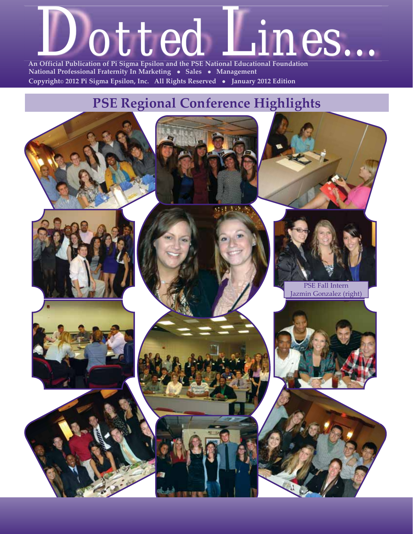

 **National Professional Fraternity In Marketing • Sales • Management Copyright© 2012 Pi Sigma Epsilon, Inc. All Rights Reserved** <sup>z</sup> **January 2012 Edition** 

### **PSE Regional Conference Highlights**

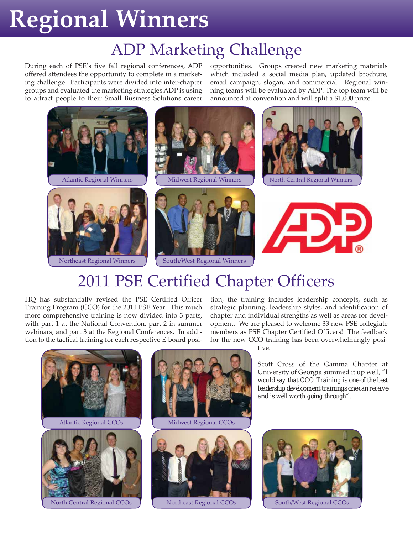# **Regional Winners**

## ADP Marketing Challenge

During each of PSE's five fall regional conferences, ADP offered attendees the opportunity to complete in a marketing challenge. Participants were divided into inter-chapter groups and evaluated the marketing strategies ADP is using to attract people to their Small Business Solutions career opportunities. Groups created new marketing materials which included a social media plan, updated brochure, email campaign, slogan, and commercial. Regional winning teams will be evaluated by ADP. The top team will be announced at convention and will split a \$1,000 prize.



## 2011 PSE Certified Chapter Officers

HQ has substantially revised the PSE Certified Officer Training Program (CCO) for the 2011 PSE Year. This much more comprehensive training is now divided into 3 parts, with part 1 at the National Convention, part 2 in summer webinars, and part 3 at the Regional Conferences. In addition to the tactical training for each respective E-board position, the training includes leadership concepts, such as strategic planning, leadership styles, and identification of chapter and individual strengths as well as areas for development. We are pleased to welcome 33 new PSE collegiate members as PSE Chapter Certified Officers! The feedback for the new CCO training has been overwhelmingly posi-



tive.

Scott Cross of the Gamma Chapter at University of Georgia summed it up well, *"I would say that CCO Training is one of the best leadership development trainings one can receive and is well worth going through".*

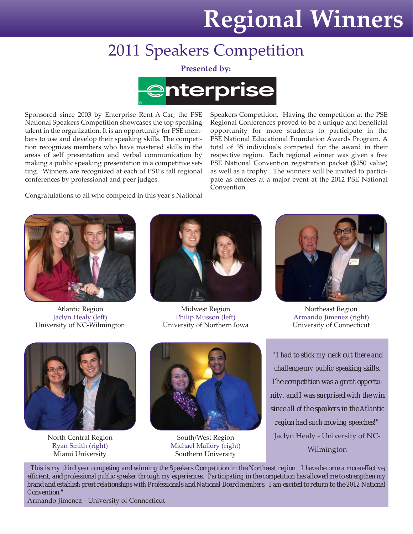# **Regional Winners**

## 2011 Speakers Competition

**Presented by:**



Sponsored since 2003 by Enterprise Rent-A-Car, the PSE National Speakers Competition showcases the top speaking talent in the organization. It is an opportunity for PSE members to use and develop their speaking skills. The competition recognizes members who have mastered skills in the areas of self presentation and verbal communication by making a public speaking presentation in a competitive setting. Winners are recognized at each of PSE's fall regional conferences by professional and peer judges.

Speakers Competition. Having the competition at the PSE Regional Conferences proved to be a unique and beneficial opportunity for more students to participate in the PSE National Educational Foundation Awards Program. A total of 35 individuals competed for the award in their respective region. Each regional winner was given a free PSE National Convention registration packet (\$250 value) as well as a trophy. The winners will be invited to participate as emcees at a major event at the 2012 PSE National Convention.

Congratulations to all who competed in this year's National



Atlantic Region Jaclyn Healy (left) University of NC-Wilmington



Midwest Region Philip Musson (left) University of Northern Iowa



Northeast Region Armando Jimenez (right) University of Connecticut



North Central Region Ryan Smith (right) Miami University



South/West Region Michael Mallery (right) Southern University

*"I had to stick my neck out there and challenge my public speaking skills. The competition was a great opportunity, and I was surprised with the win since all of the speakers in the Atlantic region had such moving speeches!"* Jaclyn Healy - University of NC-Wilmington

*"This is my third year competing and winning the Speakers Competition in the Northeast region. I have become a more effective, efficient, and professional public speaker through my experiences. Participating in the competition has allowed me to strengthen my brand and establish great relationships with Professionals and National Board members. I am excited to return to the 2012 National Convention."*

Armando Jimenez - University of Connecticut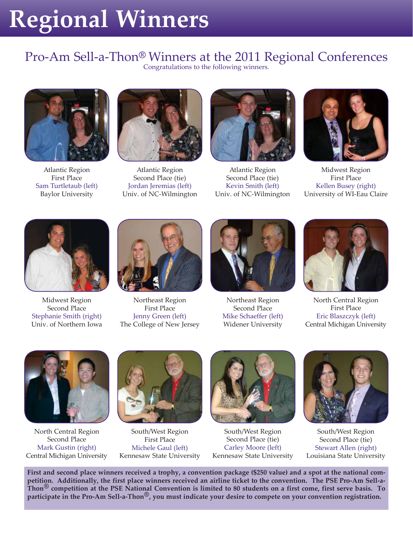# **Regional Winners**

## Pro-Am Sell-a-Thon**®** Winners at the 2011 Regional Conferences

Congratulations to the following winners.



Atlantic Region First Place Sam Turtletaub (left) Baylor University



Atlantic Region Second Place (tie) Jordan Jeremias (left) Univ. of NC-Wilmington



Atlantic Region Second Place (tie) Kevin Smith (left) Univ. of NC-Wilmington



Midwest Region First Place Kellen Busey (right) University of WI-Eau Claire



Midwest Region Second Place Stephanie Smith (right) Univ. of Northern Iowa



Northeast Region First Place Jenny Green (left) The College of New Jersey



Northeast Region Second Place Mike Schaeffer (left) Widener University



North Central Region First Place Eric Blaszczyk (left) Central Michigan University



North Central Region Second Place Mark Gustin (right) Central Michigan University



South/West Region First Place Michele Gaul (left) Kennesaw State University



South/West Region Second Place (tie) Carley Moore (left) Kennesaw State University



South/West Region Second Place (tie) Stewart Allen (right) Louisiana State University

**First and second place winners received a trophy, a convention package (\$250 value) and a spot at the national competition. Additionally, the first place winners received an airline ticket to the convention. The PSE Pro-Am Sell-a-Thon® competition at the PSE National Convention is limited to 80 students on a first come, first serve basis. To participate in the Pro-Am Sell-a-Thon®, you must indicate your desire to compete on your convention registration.**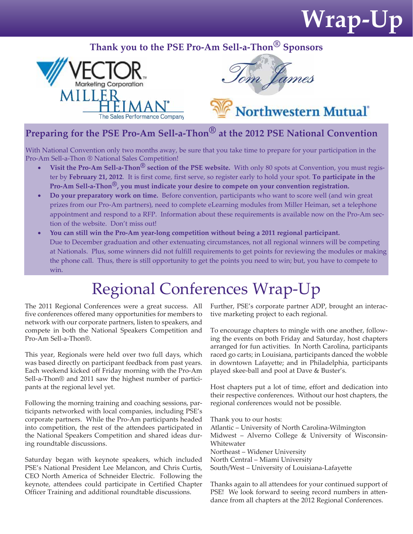# **Wrap-Up**

### **Thank you to the PSE Pro-Am Sell-a-Thon® Sponsors**





Northwestern Mutual

### **Preparing for the PSE Pro-Am Sell-a-Thon® at the 2012 PSE National Convention**

With National Convention only two months away, be sure that you take time to prepare for your participation in the Pro-Am Sell-a-Thon ® National Sales Competition!

- **Visit the Pro-Am Sell-a-Thon<sup>®</sup> section of the PSE website.** With only 80 spots at Convention, you must register by **February 21, 2012**. It is first come, first serve, so register early to hold your spot. **To participate in the Pro-Am Sell-a-Thon®, you must indicate your desire to compete on your convention registration.**
- **Do your preparatory work on time.** Before convention, participants who want to score well (and win great prizes from our Pro-Am partners), need to complete eLearning modules from Miller Heiman, set a telephone appointment and respond to a RFP. Information about these requirements is available now on the Pro-Am section of the website. Don't miss out!
- **You can still win the Pro-Am year-long competition without being a 2011 regional participant.** Due to December graduation and other extenuating circumstances, not all regional winners will be competing at Nationals. Plus, some winners did not fulfill requirements to get points for reviewing the modules or making the phone call. Thus, there is still opportunity to get the points you need to win; but, you have to compete to win.

## Regional Conferences Wrap-Up

The 2011 Regional Conferences were a great success. All five conferences offered many opportunities for members to network with our corporate partners, listen to speakers, and compete in both the National Speakers Competition and Pro-Am Sell-a-Thon®.

This year, Regionals were held over two full days, which was based directly on participant feedback from past years. Each weekend kicked off Friday morning with the Pro-Am Sell-a-Thon® and 2011 saw the highest number of participants at the regional level yet.

Following the morning training and coaching sessions, participants networked with local companies, including PSE's corporate partners. While the Pro-Am participants headed into competition, the rest of the attendees participated in the National Speakers Competition and shared ideas during roundtable discussions.

Saturday began with keynote speakers, which included PSE's National President Lee Melancon, and Chris Curtis, CEO North America of Schneider Electric. Following the keynote, attendees could participate in Certified Chapter Officer Training and additional roundtable discussions.

Further, PSE's corporate partner ADP, brought an interactive marketing project to each regional.

To encourage chapters to mingle with one another, following the events on both Friday and Saturday, host chapters arranged for fun activities. In North Carolina, participants raced go carts; in Louisiana, participants danced the wobble in downtown Lafayette; and in Philadelphia, participants played skee-ball and pool at Dave & Buster's.

Host chapters put a lot of time, effort and dedication into their respective conferences. Without our host chapters, the regional conferences would not be possible.

Thank you to our hosts: Atlantic – University of North Carolina-Wilmington Midwest – Alverno College & University of Wisconsin-Whitewater Northeast – Widener University North Central – Miami University South/West – University of Louisiana-Lafayette

Thanks again to all attendees for your continued support of PSE! We look forward to seeing record numbers in attendance from all chapters at the 2012 Regional Conferences.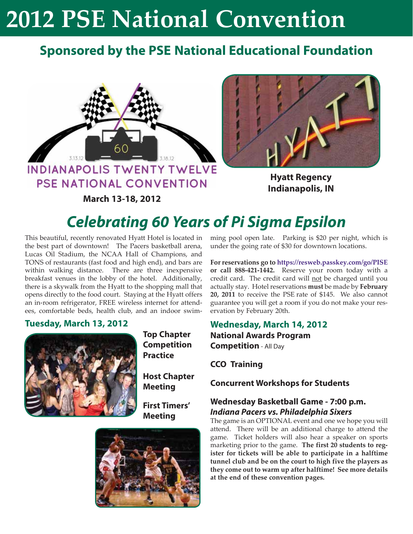### **Sponsored by the PSE National Educational Foundation**



PSE NATIONAL CONVENTION

**March 13-18, 2012**



**Hyatt Regency Indianapolis, IN**

### **Celebrating 60 Years of Pi Sigma Epsilon**

This beautiful, recently renovated Hyatt Hotel is located in the best part of downtown! The Pacers basketball arena, Lucas Oil Stadium, the NCAA Hall of Champions, and TONS of restaurants (fast food and high end), and bars are within walking distance. There are three inexpensive breakfast venues in the lobby of the hotel. Additionally, there is a skywalk from the Hyatt to the shopping mall that opens directly to the food court. Staying at the Hyatt offers an in-room refrigerator, FREE wireless internet for attendees, comfortable beds, health club, and an indoor swim-

### **Tuesday, March 13, 2012**



**Top Chapter Competition Practice**

**Host Chapter Meeting**

**First Timers' Meeting**



ming pool open late. Parking is \$20 per night, which is under the going rate of \$30 for downtown locations.

**For reservations go to https://resweb.passkey.com/go/PISE or call 888-421-1442.** Reserve your room today with a credit card. The credit card will not be charged until you actually stay. Hotel reservations **must** be made by **February 20, 2011** to receive the PSE rate of \$145. We also cannot guarantee you will get a room if you do not make your reservation by February 20th.

#### **Wednesday, March 14, 2012 National Awards Program Competition** - All Day

**CCO Training**

**Concurrent Workshops for Students**

#### **Wednesday Basketball Game - 7:00 p.m. Indiana Pacers vs. Philadelphia Sixers**

The game is an OPTIONAL event and one we hope you will attend. There will be an additional charge to attend the game. Ticket holders will also hear a speaker on sports marketing prior to the game. **The first 20 students to register for tickets will be able to participate in a halftime tunnel club and be on the court to high five the players as they come out to warm up after halftime! See more details at the end of these convention pages.**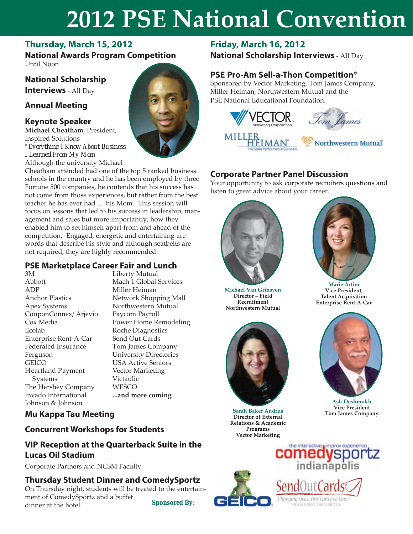### **Thursday, March 15, 2012**

**National Awards Program Competition** Until Noon

### **National Scholarship Interviews** - All Day

### **Annual Meeting**

### **Keynote Speaker**

**Michael Cheatham**, President, Inspired Solutions *"Everything I Know About Business I Learned From My Mom"* Although the university Michael

Cheatham attended had one of the top 5 ranked business schools in the country and he has been employed by three Fortune 500 companies, he contends that his success has not come from those experiences, but rather from the best teacher he has ever had … his Mom. This session will focus on lessons that led to his success in leadership, management and sales but more importantly, how they enabled him to set himself apart from and ahead of the competition. Engaged, energetic and entertaining are words that describe his style and although seatbelts are not required, they are highly recommended!

#### **PSE Marketplace Career Fair and Lunch**

3M Abbott ADP Anchor Plastics Apex Systems CouponConnex/ Arjevio Cox Media Ecolab Enterprise Rent-A-Car Federated Insurance Ferguson **GEICO** Heartland Payment Systems The Hershey Company Invado International Johnson & Johnson

Liberty Mutual Mach 1 Global Services Miller Heiman Network Shopping Mall Northwestern Mutual Paycom Payroll Power Home Remodeling Roche Diagnostics Send Out Cards Tom James Company University Directories USA Active Seniors Vector Marketing Victaulic **WESCO ...and more coming**

### **Mu Kappa Tau Meeting**

### **Concurrent Workshops for Students**

### **VIP Reception at the Quarterback Suite in the Lucas Oil Stadium**

Corporate Partners and NCSM Faculty

### **Thursday Student Dinner and ComedySportz**

On Thursday night, students will be treated to the entertainment of ComedySportz and a buffet dinner at the hotel. *Sponsored By:*

### **Friday, March 16, 2012**

**National Scholarship Interviews** - All Day

### **PSE Pro-Am Sell-a-Thon Competition®**

Sponsored by Vector Marketing, Tom James Company, Miller Heiman, Northwestern Mutual and the PSE National Educational Foundation.



### **Corporate Partner Panel Discussion**

Your opportunity to ask corporate recruiters questions and listen to great advice about your career.



**Michael Van Grinsven Director – Field Recruitment Northwestern Mutual**



**Sarah Baker Andrus Director of External Relations & Academic Programs Vector Marketing**



**Marie Artim Vice President, Talent Acquisition Enterprise Rent-A-Car**



**Ash Deshmukh Vice President Tom James Company**



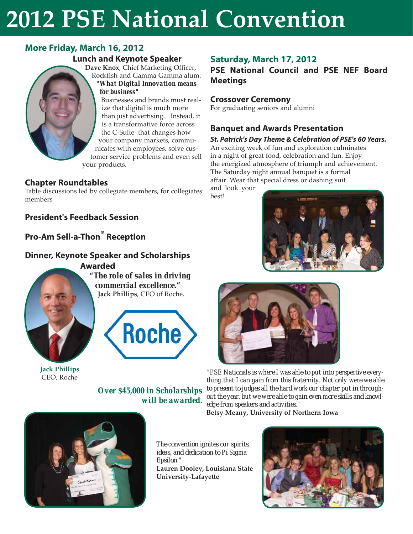### **More Friday, March 16, 2012**

#### **Lunch and Keynote Speaker**

**Dave Knox**, Chief Marketing Officer, Rockfish and Gamma Gamma alum. *"What Digital Innovation means for business"*

Businesses and brands must realize that digital is much more than just advertising. Instead, it is a transformative force across the C-Suite that changes how your company markets, communicates with employees, solve customer service problems and even sell your products.

### **Chapter Roundtables**

Table discussions led by collegiate members, for collegiates members

### **President's Feedback Session**

**Pro-Am Sell-a-Thon® Reception**

### **Dinner, Keynote Speaker and Scholarships**





*"The role of sales in driving commercial excellence."* **Jack Phillips**, CEO of Roche.



**Jack Phillips** CEO, Roche

*Over \$45,000 in Scholarships will be awarded.*



**PSE National Council and PSE NEF Board Meetings**

#### **Crossover Ceremony**

For graduating seniors and alumni

#### **Banquet and Awards Presentation**

#### **St. Patrick's Day Theme & Celebration of PSE's 60 Years.**

An exciting week of fun and exploration culminates in a night of great food, celebration and fun. Enjoy the energized atmosphere of triumph and achievement. The Saturday night annual banquet is a formal affair. Wear that special dress or dashing suit and look your

best!





*"PSE Nationals is where I was able to put into perspective everything that I can gain from this fraternity. Not only were we able to present to judges all the hard work our chapter put in throughout the year, but we were able to gain even more skills and knowledge from speakers and activities."*

**Betsy Meany, University of Northern Iowa**



*The convention ignites our spirits, ideas, and dedication to Pi Sigma Epsilon."* **Lauren Dooley, Louisiana State University-Lafayett e**

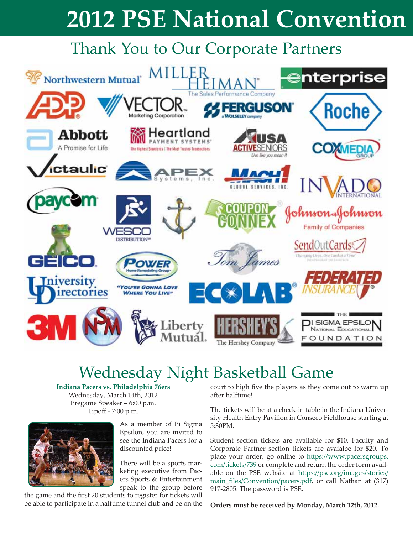## Thank You to Our Corporate Partners



## Wednesday Night Basketball Game

**Indiana Pacers vs. Philadelphia 76ers** Wednesday, March 14th, 2012 Pregame Speaker – 6:00 p.m. Tipoff - 7:00 p.m.



As a member of Pi Sigma Epsilon, you are invited to see the Indiana Pacers for a discounted price!

There will be a sports marketing executive from Pacers Sports & Entertainment speak to the group before

the game and the first 20 students to register for tickets will be able to participate in a halftime tunnel club and be on the court to high five the players as they come out to warm up after halftime!

The tickets will be at a check-in table in the Indiana University Health Entry Pavilion in Conseco Fieldhouse starting at 5:30PM.

Student section tickets are available for \$10. Faculty and Corporate Partner section tickets are avaialbe for \$20. To place your order, go online to https://www.pacersgroups. com/tickets/739 or complete and return the order form available on the PSE website at https://pse.org/images/stories/ main\_fi les/Convention/pacers.pdf, or call Nathan at (317) 917-2805. The password is PSE.

**Orders must be received by Monday, March 12th, 2012.**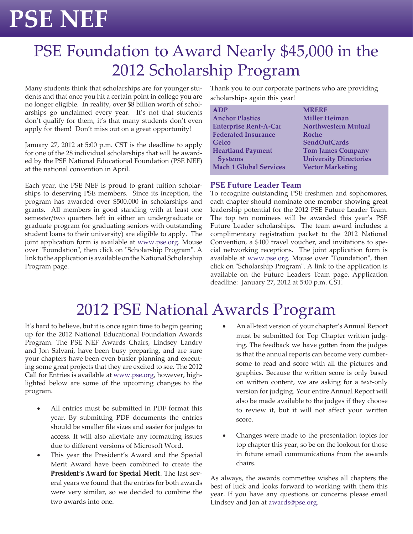# **PSE NEF**

## PSE Foundation to Award Nearly \$45,000 in the 2012 Scholarship Program

Many students think that scholarships are for younger students and that once you hit a certain point in college you are no longer eligible. In reality, over \$8 billion worth of scholarships go unclaimed every year. It's not that students don't qualify for them, it's that many students don't even apply for them! Don't miss out on a great opportunity!

January 27, 2012 at 5:00 p.m. CST is the deadline to apply for one of the 28 individual scholarships that will be awarded by the PSE National Educational Foundation (PSE NEF) at the national convention in April.

Each year, the PSE NEF is proud to grant tuition scholarships to deserving PSE members. Since its inception, the program has awarded over \$500,000 in scholarships and grants. All members in good standing with at least one semester/two quarters left in either an undergraduate or graduate program (or graduating seniors with outstanding student loans to their university) are eligible to apply. The joint application form is available at www.pse.org. Mouse over "Foundation", then click on "Scholarship Program". A link to the application is available on the National Scholarship Program page.

Thank you to our corporate partners who are providing scholarships again this year!

| <b>ADP</b>                    | <b>MRERF</b>                  |
|-------------------------------|-------------------------------|
| <b>Anchor Plastics</b>        | <b>Miller Heiman</b>          |
| <b>Enterprise Rent-A-Car</b>  | <b>Northwestern Mutual</b>    |
| <b>Federated Insurance</b>    | Roche                         |
| Geico                         | <b>SendOutCards</b>           |
| <b>Heartland Payment</b>      | <b>Tom James Company</b>      |
| <b>Systems</b>                | <b>University Directories</b> |
| <b>Mach 1 Global Services</b> | <b>Vector Marketing</b>       |
|                               |                               |

#### **PSE Future Leader Team**

To recognize outstanding PSE freshmen and sophomores, each chapter should nominate one member showing great leadership potential for the 2012 PSE Future Leader Team. The top ten nominees will be awarded this year's PSE Future Leader scholarships. The team award includes: a complimentary registration packet to the 2012 National Convention, a \$100 travel voucher, and invitations to special networking receptions. The joint application form is available at www.pse.org. Mouse over "Foundation", then click on "Scholarship Program". A link to the application is available on the Future Leaders Team page. Application deadline: January 27, 2012 at 5:00 p.m. CST.

## 2012 PSE National Awards Program

It's hard to believe, but it is once again time to begin gearing up for the 2012 National Educational Foundation Awards Program. The PSE NEF Awards Chairs, Lindsey Landry and Jon Salvani, have been busy preparing, and are sure your chapters have been even busier planning and executing some great projects that they are excited to see. The 2012 Call for Entries is available at www.pse.org, however, highlighted below are some of the upcoming changes to the program.

- All entries must be submitted in PDF format this year. By submitting PDF documents the entries should be smaller file sizes and easier for judges to access. It will also alleviate any formatting issues due to different versions of Microsoft Word.
- This year the President's Award and the Special Merit Award have been combined to create the *President's Award for Special Merit*. The last several years we found that the entries for both awards were very similar, so we decided to combine the two awards into one.
- An all-text version of your chapter's Annual Report must be submitted for Top Chapter written judging. The feedback we have gotten from the judges is that the annual reports can become very cumbersome to read and score with all the pictures and graphics. Because the written score is only based on written content, we are asking for a text-only version for judging. Your entire Annual Report will also be made available to the judges if they choose to review it, but it will not affect your written score.
- Changes were made to the presentation topics for top chapter this year, so be on the lookout for those in future email communications from the awards chairs.

As always, the awards commettee wishes all chapters the best of luck and looks forward to working with them this year. If you have any questions or concerns please email Lindsey and Jon at awards@pse.org.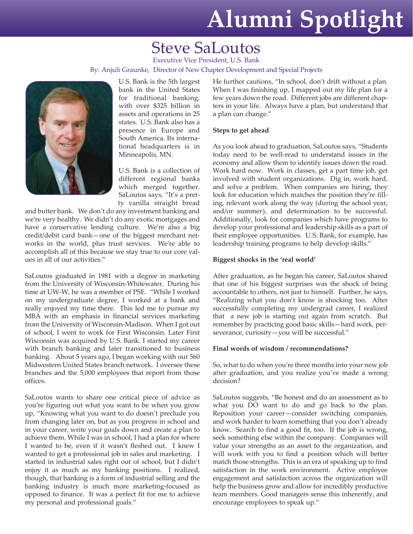# **Alumni Spotlight**

### Steve SaLoutos

Executive Vice President, U.S. Bank By: Anjuli Graunke, Director of New Chapter Development and Special Projects



U.S. Bank is the 5th largest bank in the United States for traditional banking, with over \$325 billion in assets and operations in 25 states. U.S. Bank also has a presence in Europe and South America. Its international headquarters is in Minneapolis, MN.

U.S. Bank is a collection of different regional banks which merged together. SaLoutos says, "It's a pretty vanilla straight bread

and butter bank. We don't do any investment banking and we're very healthy. We didn't do any exotic mortgages and have a conservative lending culture. We're also a big credit/debit card bank—one of the biggest merchant networks in the world, plus trust services. We're able to accomplish all of this because we stay true to our core values in all of our activities."

SaLoutos graduated in 1981 with a degree in marketing from the University of Wisconsin-Whitewater. During his time at UW-W, he was a member of PSE. "While I worked on my undergraduate degree, I worked at a bank and really enjoyed my time there. This led me to pursue my MBA with an emphasis in financial services marketing from the University of Wisconsin-Madison. When I got out of school, I went to work for First Wisconsin. Later First Wisconsin was acquired by U.S. Bank. I started my career with branch banking and later transitioned to business banking. About 5 years ago, I began working with our 560 Midwestern United States branch network. I oversee these branches and the 5,000 employees that report from those offices.

SaLoutos wants to share one critical piece of advice as you're figuring out what you want to be when you grow up, "Knowing what you want to do doesn't preclude you from changing later on, but as you progress in school and in your career, write your goals down and create a plan to achieve them. While I was in school, I had a plan for where I wanted to be, even if it wasn't fleshed out. I knew I wanted to get a professional job in sales and marketing. I started in industrial sales right out of school, but I didn't enjoy it as much as my banking positions. I realized, though, that banking is a form of industrial selling and the banking industry is much more marketing-focused as opposed to finance. It was a perfect fit for me to achieve my personal and professional goals."

He further cautions, "In school, don't drift without a plan. When I was finishing up, I mapped out my life plan for a few years down the road. Different jobs are different chapters in your life. Always have a plan, but understand that a plan can change."

#### **Steps to get ahead**

As you look ahead to graduation, SaLoutos says, "Students today need to be well-read to understand issues in the economy and allow them to identify issues down the road. Work hard now. Work in classes, get a part time job, get involved with student organizations. Dig in, work hard, and solve a problem. When companies are hiring, they look for education which matches the position they're filling, relevant work along the way (during the school year, and/or summer), and determination to be successful. Additionally, look for companies which have programs to develop your professional and leadership skills as a part of their employee opportunities. U.S. Bank, for example, has leadership training programs to help develop skills."

#### **Biggest shocks in the 'real world'**

After graduation, as he began his career, SaLoutos shared that one of his biggest surprises was the shock of being accountable to others, not just to himself. Further, he says, "Realizing what you don't know is shocking too. After successfully completing my undergrad career, I realized that a new job is starting out again from scratch. But remember by practicing good basic skills—hard work, perseverance, curiosity—you will be successful."

#### **Final words of wisdom / recommendations?**

So, what to do when you're three months into your new job after graduation, and you realize you've made a wrong decision?

SaLoutos suggests, "Be honest and do an assessment as to what you DO want to do and go back to the plan. Reposition your career—consider switching companies, and work harder to learn something that you don't already know. Search to find a good fit, too. If the job is wrong, seek something else within the company. Companies will value your strengths as an asset to the organization, and will work with you to find a position which will better match those strengths. This is an era of speaking up to find satisfaction in the work environment. Active employee engagement and satisfaction across the organization will help the business grow and allow for incredibly productive team members. Good managers sense this inherently, and encourage employees to speak up."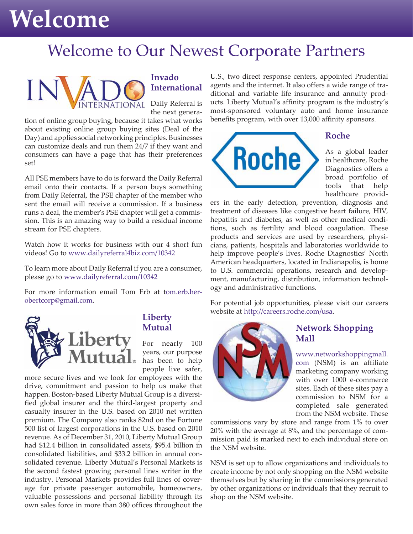## **Welcome**

### Welcome to Our Newest Corporate Partners



### **Invado International**

Daily Referral is the next genera-

tion of online group buying, because it takes what works about existing online group buying sites (Deal of the Day) and applies social networking principles. Businesses can customize deals and run them 24/7 if they want and consumers can have a page that has their preferences set!

All PSE members have to do is forward the Daily Referral email onto their contacts. If a person buys something from Daily Referral, the PSE chapter of the member who sent the email will receive a commission. If a business runs a deal, the member's PSE chapter will get a commission. This is an amazing way to build a residual income stream for PSE chapters.

Watch how it works for business with our 4 short fun videos! Go to www.dailyreferral4biz.com/10342

To learn more about Daily Referral if you are a consumer, please go to www.dailyreferral.com/10342

For more information email Tom Erb at tom.erb.herobertcorp@gmail.com.



### **Liberty Mutual**

For nearly 100 years, our purpose has been to help people live safer,

more secure lives and we look for employees with the drive, commitment and passion to help us make that happen. Boston-based Liberty Mutual Group is a diversified global insurer and the third-largest property and casualty insurer in the U.S. based on 2010 net written premium. The Company also ranks 82nd on the Fortune 500 list of largest corporations in the U.S. based on 2010 revenue. As of December 31, 2010, Liberty Mutual Group had \$12.4 billion in consolidated assets, \$95.4 billion in consolidated liabilities, and \$33.2 billion in annual consolidated revenue. Liberty Mutual's Personal Markets is the second fastest growing personal lines writer in the industry. Personal Markets provides full lines of coverage for private passenger automobile, homeowners, valuable possessions and personal liability through its own sales force in more than 380 offices throughout the

U.S., two direct response centers, appointed Prudential agents and the internet. It also offers a wide range of traditional and variable life insurance and annuity products. Liberty Mutual's affinity program is the industry's most-sponsored voluntary auto and home insurance benefits program, with over 13,000 affinity sponsors.



As a global leader in healthcare, Roche Diagnostics offers a broad portfolio of tools that help healthcare provid-

ers in the early detection, prevention, diagnosis and treatment of diseases like congestive heart failure, HIV, hepatitis and diabetes, as well as other medical conditions, such as fertility and blood coagulation. These products and services are used by researchers, physicians, patients, hospitals and laboratories worldwide to help improve people's lives. Roche Diagnostics' North American headquarters, located in Indianapolis, is home to U.S. commercial operations, research and development, manufacturing, distribution, information technology and administrative functions.

For potential job opportunities, please visit our careers website at http://careers.roche.com/usa.



### **Network Shopping Mall**

www.networkshoppingmall. com (NSM) is an affiliate marketing company working with over 1000 e-commerce sites. Each of these sites pay a commission to NSM for a completed sale generated from the NSM website. These

commissions vary by store and range from 1% to over 20% with the average at 8%, and the percentage of commission paid is marked next to each individual store on the NSM website.

NSM is set up to allow organizations and individuals to create income by not only shopping on the NSM website themselves but by sharing in the commissions generated by other organizations or individuals that they recruit to shop on the NSM website.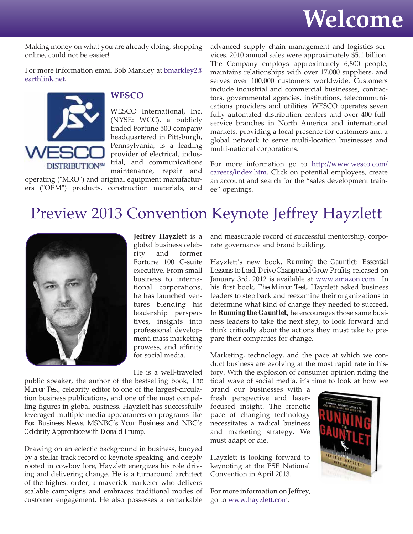

Making money on what you are already doing, shopping online, could not be easier!

For more information email Bob Markley at bmarkley2@ earthlink.net.



#### **WESCO**

WESCO International, Inc. (NYSE: WCC), a publicly traded Fortune 500 company headquartered in Pittsburgh, Pennsylvania, is a leading provider of electrical, industrial, and communications maintenance, repair and

operating ("MRO") and original equipment manufacturers ("OEM") products, construction materials, and advanced supply chain management and logistics services. 2010 annual sales were approximately \$5.1 billion. The Company employs approximately 6,800 people, maintains relationships with over 17,000 suppliers, and serves over 100,000 customers worldwide. Customers include industrial and commercial businesses, contractors, governmental agencies, institutions, telecommunications providers and utilities. WESCO operates seven fully automated distribution centers and over 400 fullservice branches in North America and international markets, providing a local presence for customers and a global network to serve multi-location businesses and multi-national corporations.

For more information go to http://www.wesco.com/ careers/index.htm. Click on potential employees, create an account and search for the "sales development trainee" openings.

### Preview 2013 Convention Keynote Jeffrey Hayzlett



**Jeffrey Hayzlett** is a global business celebrity and former Fortune 100 C-suite executive. From small business to international corporations, he has launched ventures blending his leadership perspectives, insights into professional development, mass marketing prowess, and affinity for social media.

He is a well-traveled

public speaker, the author of the bestselling book, *The Mirror Test,* celebrity editor to one of the largest-circulation business publications, and one of the most compelling figures in global business. Hayzlett has successfully leveraged multiple media appearances on programs like *Fox Business News*, MSNBC's *Your Business* and NBC's *Celebrity Apprentice with Donald Trump*.

Drawing on an eclectic background in business, buoyed by a stellar track record of keynote speaking, and deeply rooted in cowboy lore, Hayzlett energizes his role driving and delivering change. He is a turnaround architect of the highest order; a maverick marketer who delivers scalable campaigns and embraces traditional modes of customer engagement. He also possesses a remarkable

and measurable rocord of successful mentorship, corporate governance and brand building.

Hayzlett's new book, *Running the Gauntlet: Essential Lessons to Lead, Drive Change and Grow Profits*, released on January 3rd, 2012 is available at www.amazon.com. In his first book, *The Mirror Test*, Hayzlett asked business leaders to step back and reexamine their organizations to determine what kind of change they needed to succeed. In *Running the Gauntlet,* he encourages those same business leaders to take the next step, to look forward and think critically about the actions they must take to prepare their companies for change.

Marketing, technology, and the pace at which we conduct business are evolving at the most rapid rate in history. With the explosion of consumer opinion riding the tidal wave of social media, it's time to look at how we

brand our businesses with a fresh perspective and laserfocused insight. The frenetic pace of changing technology necessitates a radical business and marketing strategy. We must adapt or die.

Hayzlett is looking forward to keynoting at the PSE National Convention in April 2013.

For more information on Jeffrey, go to www.hayzlett.com.

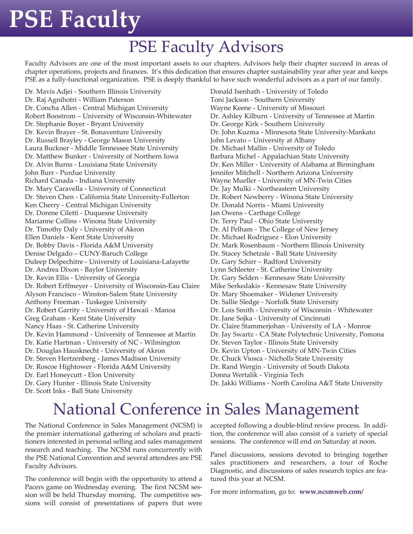# **PSE Faculty**

## PSE Faculty Advisors

Faculty Advisors are one of the most important assets to our chapters. Advisors help their chapter succeed in areas of chapter operations, projects and finances. It's this dedication that ensures chapter sustainability year after year and keeps PSE as a fully-functional organization. PSE is deeply thankful to have such wonderful advisors as a part of our family.

Dr. Mavis Adjei - Southern Illinois University Dr. Raj Agnihotri - William Paterson Dr. Concha Allen - Central Michigan University Robert Boostrom – University of Wisconsin-Whitewater Dr. Stephanie Boyer - Bryant University Dr. Kevin Brayer - St. Bonaventure University Dr. Russell Brayley - George Mason University Laura Buckner - Middle Tennessee State University Dr. Matthew Bunker - University of Northern Iowa Dr. Alvin Burns - Louisiana State University John Burr - Purdue University Richard Canada - Indiana University Dr. Mary Caravella - University of Connecticut Dr. Steven Chen - California State University-Fullerton Ken Cherry - Central Michigan University Dr. Dorene Ciletti - Duquesne University Marianne Collins - Winona State University Dr. Timothy Daly - University of Akron Ellen Daniels - Kent State University Dr. Bobby Davis - Florida A&M University Denise Delgado – CUNY-Baruch College Duleep Delpechitre - University of Louisiana-Lafayette Dr. Andrea Dixon - Baylor University Dr. Kevin Ellis - University of Georgia Dr. Robert Erffmeyer - University of Wisconsin-Eau Claire Alyson Francisco - Winston-Salem State University Anthony Freeman - Tuskegee University Dr. Robert Garrity - University of Hawaii - Manoa Greg Graham - Kent State University Nancy Haas - St. Catherine University Dr. Kevin Hammond - University of Tennessee at Martin Dr. Katie Hartman - University of NC - Wilmington Dr. Douglas Hausknecht - University of Akron Dr. Steven Hertzenberg - James Madison University Dr. Roscoe Hightower - Florida A&M University Dr. Earl Honeycutt - Elon University Dr. Gary Hunter - Illinois State University Dr. Scott Inks - Ball State University

Donald Isenhath - University of Toledo Toni Jackson - Southern University Wayne Keene - University of Missouri Dr. Ashley Kilburn - University of Tennessee at Martin Dr. George Kirk - Southern University Dr. John Kuzma - Minnesota State University-Mankato John Levato – University at Albany Dr. Michael Mallin - University of Toledo Barbara Michel - Appalachian State University Dr. Ken Miller - University of Alabama at Birmingham Jennifer Mitchell - Northern Arizona University Wayne Mueller - University of MN-Twin Cities Dr. Jay Mulki - Northeastern University Dr. Robert Newberry - Winona State University Dr. Donald Norris - Miami University Jan Owens - Carthage College Dr. Terry Paul - Ohio State University Dr. Al Pelham - The College of New Jersey Dr. Michael Rodriguez - Elon University Dr. Mark Rosenbaum - Northern Illinois University Dr. Stacey Schetzsle - Ball State University Dr. Gary Schirr – Radford University Lynn Schleeter - St. Catherine University Dr. Gary Selden - Kennesaw State University Mike Serkedakis - Kennesaw State University Dr. Mary Shoemaker - Widener University Dr. Sallie Sledge - Norfolk State University Dr. Lois Smith - University of Wisconsin - Whitewater Dr. Jane Sojka - University of Cincinnati Dr. Claire Stammerjohan - University of LA - Monroe Dr. Jay Swartz - CA State Polytechnic University, Pomona Dr. Steven Taylor - Illinois State University Dr. Kevin Upton - University of MN-Twin Cities Dr. Chuck Viosca - Nicholls State University Dr. Rand Wergin - University of South Dakota Donna Wertalik - Virginia Tech

Dr. Jakki Williams - North Carolina A&T State University

## National Conference in Sales Management

The National Conference in Sales Management (NCSM) is the premier international gathering of scholars and practitioners interested in personal selling and sales management research and teaching. The NCSM runs concurrently with the PSE National Convention and several attendees are PSE Faculty Advisors.

The conference will begin with the opportunity to attend a Pacers game on Wednesday evening. The first NCSM session will be held Thursday morning. The competitive sessions will consist of presentations of papers that were accepted following a double-blind review process. In addition, the conference will also consist of a variety of special sessions. The conference will end on Saturday at noon.

Panel discussions, sessions devoted to bringing together sales practitioners and researchers, a tour of Roche Diagnostic, and discussions of sales research topics are featured this year at NCSM.

For more information, go to: **www.ncsmweb.com/**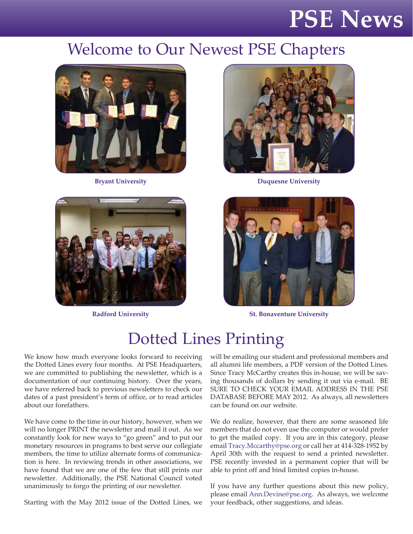## **PSE News**

### Welcome to Our Newest PSE Chapters







**Bryant University Duquesne University** 



**Radford University St. Bonaventure University**

## Dotted Lines Printing

We know how much everyone looks forward to receiving the Dotted Lines every four months. At PSE Headquarters, we are committed to publishing the newsletter, which is a documentation of our continuing history. Over the years, we have referred back to previous newsletters to check our dates of a past president's term of office, or to read articles about our forefathers.

We have come to the time in our history, however, when we will no longer PRINT the newsletter and mail it out. As we constantly look for new ways to "go green" and to put our monetary resources in programs to best serve our collegiate members, the time to utilize alternate forms of communication is here. In reviewing trends in other associations, we have found that we are one of the few that still prints our newsletter. Additionally, the PSE National Council voted unanimously to forgo the printing of our newsletter.

Starting with the May 2012 issue of the Dotted Lines, we

will be emailing our student and professional members and all alumni life members, a PDF version of the Dotted Lines. Since Tracy McCarthy creates this in-house, we will be saving thousands of dollars by sending it out via e-mail. BE SURE TO CHECK YOUR EMAIL ADDRESS IN THE PSE DATABASE BEFORE MAY 2012. As always, all newsletters can be found on our website.

We do realize, however, that there are some seasoned life members that do not even use the computer or would prefer to get the mailed copy. If you are in this category, please email Tracy.Mccarthy@pse.org or call her at 414-328-1952 by April 30th with the request to send a printed newsletter. PSE recently invested in a permanent copier that will be able to print off and bind limited copies in-house.

If you have any further questions about this new policy, please email Ann.Devine@pse.org. As always, we welcome your feedback, other suggestions, and ideas.